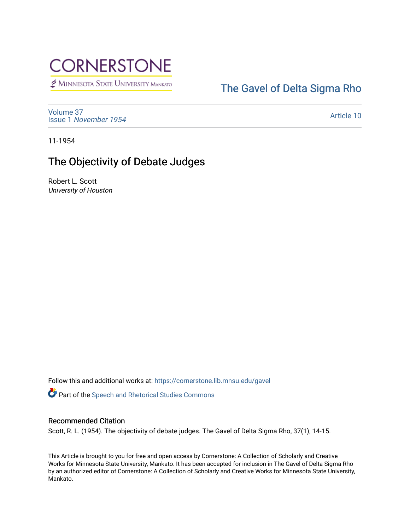# **CORNERSTONE**

MINNESOTA STATE UNIVERSITY MANKATO

### [The Gavel of Delta Sigma Rho](https://cornerstone.lib.mnsu.edu/gavel)

[Volume 37](https://cornerstone.lib.mnsu.edu/gavel/vol37) Issue 1 [November 1954](https://cornerstone.lib.mnsu.edu/gavel/vol37/iss1) 

[Article 10](https://cornerstone.lib.mnsu.edu/gavel/vol37/iss1/10) 

11-1954

### The Objectivity of Debate Judges

Robert L. Scott University of Houston

Follow this and additional works at: [https://cornerstone.lib.mnsu.edu/gavel](https://cornerstone.lib.mnsu.edu/gavel?utm_source=cornerstone.lib.mnsu.edu%2Fgavel%2Fvol37%2Fiss1%2F10&utm_medium=PDF&utm_campaign=PDFCoverPages) 

Part of the [Speech and Rhetorical Studies Commons](http://network.bepress.com/hgg/discipline/338?utm_source=cornerstone.lib.mnsu.edu%2Fgavel%2Fvol37%2Fiss1%2F10&utm_medium=PDF&utm_campaign=PDFCoverPages) 

#### Recommended Citation

Scott, R. L. (1954). The objectivity of debate judges. The Gavel of Delta Sigma Rho, 37(1), 14-15.

This Article is brought to you for free and open access by Cornerstone: A Collection of Scholarly and Creative Works for Minnesota State University, Mankato. It has been accepted for inclusion in The Gavel of Delta Sigma Rho by an authorized editor of Cornerstone: A Collection of Scholarly and Creative Works for Minnesota State University, Mankato.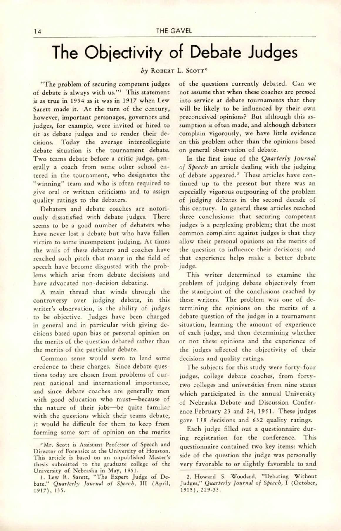## The Objectivity of Debate Judges

#### by ROBERT L. SCOTT\*

"The problem of securing competent judges of debate is always with us."<sup>1</sup> This statement is as true in 1954 as it was in 1917 when Lew Sarett made it. At the turn of the century, however, important personages, governors and judges, for example, were invited or hired to sit as debate judges and to render their de cisions. Today the average intercollegiate debate situation is the tournament debate. Two teams debate before a critic-judge, gen erally a coach from some other school en tered in the tournament, who designates the "winning" team and who is often required to give oral or written criticisms and to assign quality ratings to the debaters.

Debaters and debate coaches are notori ously dissatisfied with debate judges. There seems to be a good number of debaters who have never lost a debate but who have fallen victim to some incompetent judging. At times the wails of these debaters and coaches have reached such pitch that many in the field of speech have become disgusted with the prob lems which arise from debate decisions and have advocated non-decision debating.

A main thread that winds through the controversy over judging debate, in this writer's observation, is the ability of judges to be objective. Judges have been charged in general and in particular with giving de cisions based upon bias or personal opinion on the merits of the question debated rather than the merits of the particular debate.

Common sense would seem to lend some credence to these charges. Since debate ques tions today are chosen from problems of cur rent national and international importance, and since debate coaches are generally men with good education who must—because of the nature of their jobs—be quite familiar with the questions which their teams debate, it would be difficult for them to keep from forming some sort of opinion on the merits of the questions currently debated. Can we not assume that when these coaches are pressed into service at debate tournaments that they will be likely to be influenced by their own preconceived opinions? But although this as sumption is often made, and although debaters complain vigorously, we have little evidence on this problem other than the opinions based on general observation of debate.

In the first issue of the Quarterly Journal of Speech an article dealing with the judging of debate appeared.<sup>2</sup> These articles have continued up to the present but there was an especially vigorous outpouring of the problem of judging debates in the second decade of this century. In general these articles reached three conclusions: that securing competent judges is a perplexing problem; that the most common complaint against judges is that they allow their personal opinions on the merits of the question to influence their decisions; and that experience helps make a better debate judge.

This writer determined to examine the problem of judging debate objectively from the standpoint of the conclusions reached by these writers. The problem was one of de termining the opinions on the merits of a debate question of the judges in a tournament situation, learning the amount of experience of each judge, and then determining whether or not these opinions and the experience of the judges affected the objectivity of their decisions and quality ratings.

The subjects for this study were forty-four judges, college debate coaches, from fortytwo colleges and universities from nine states which participated in the annual University of Nebraska Debate and Discussion Confer ence February 23 and 24, 1951. These judges gave 158 decisions and 632 quality racings.

Each judge filled out a questionnaire dur ing registration for the conference. This questionnaire contained two key items: which side of the question the judge was personally very favorable to or slightly favorable to and

<sup>&</sup>quot;•Mr. Scott is Assistant Professor of Speech and Director of Forensics at the University of Houston. This article is based on an unpublished Master's thesis submitted to the graduate college of the University of Nebraska in May, 1951.

<sup>1.</sup> Lew R. Sarett, "The Expert Judge of De bate," Quarterly Journal of Speech, III (April, 1917), 135.

<sup>2.</sup> Howard S. Woodard, "Debating Without Judges," Quarterly fournal of Speech, I (October, 1915), 229-33.